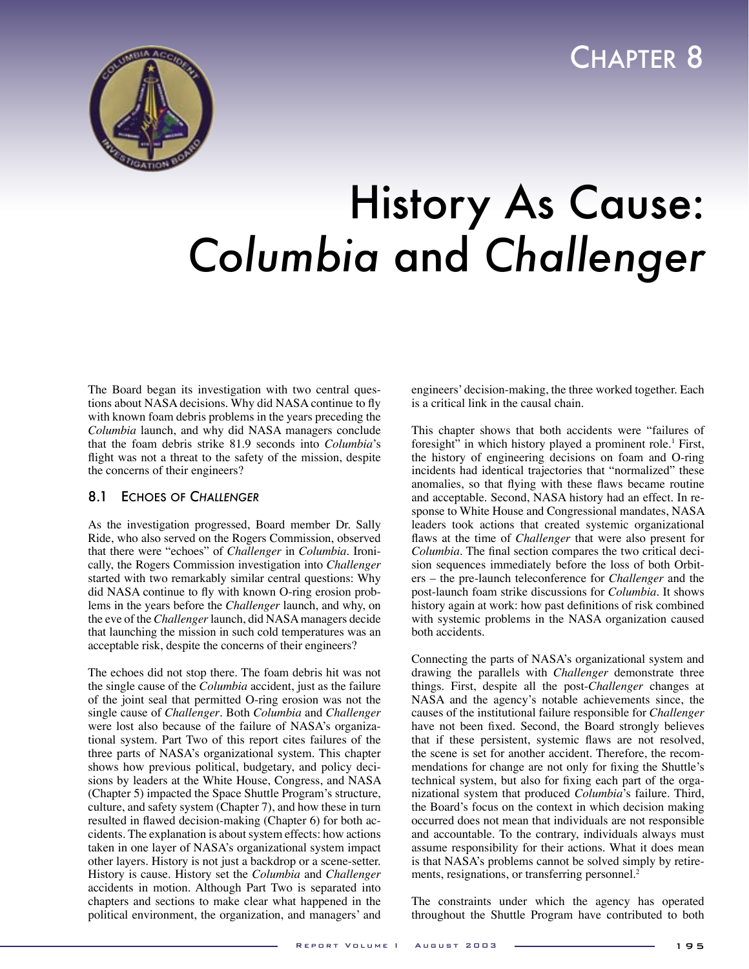

# History As Cause: *Columbia* and *Challenger*

The Board began its investigation with two central questions about NASA decisions. Why did NASA continue to fly with known foam debris problems in the years preceding the *Columbia* launch, and why did NASA managers conclude that the foam debris strike 81.9 seconds into *Columbia*'s flight was not a threat to the safety of the mission, despite the concerns of their engineers?

# 8.1 ECHOES OF *CHALLENGER*

As the investigation progressed, Board member Dr. Sally Ride, who also served on the Rogers Commission, observed that there were "echoes" of *Challenger* in *Columbia*. Ironically, the Rogers Commission investigation into *Challenger* started with two remarkably similar central questions: Why did NASA continue to fly with known O-ring erosion problems in the years before the *Challenger* launch, and why, on the eve of the *Challenger* launch, did NASA managers decide that launching the mission in such cold temperatures was an acceptable risk, despite the concerns of their engineers?

The echoes did not stop there. The foam debris hit was not the single cause of the *Columbia* accident, just as the failure of the joint seal that permitted O-ring erosion was not the single cause of *Challenger*. Both *Columbia* and *Challenger* were lost also because of the failure of NASA's organizational system. Part Two of this report cites failures of the three parts of NASA's organizational system. This chapter shows how previous political, budgetary, and policy decisions by leaders at the White House, Congress, and NASA (Chapter 5) impacted the Space Shuttle Program's structure, culture, and safety system (Chapter 7), and how these in turn resulted in flawed decision-making (Chapter 6) for both accidents. The explanation is about system effects: how actions taken in one layer of NASA's organizational system impact other layers. History is not just a backdrop or a scene-setter. History is cause. History set the *Columbia* and *Challenger* accidents in motion. Although Part Two is separated into chapters and sections to make clear what happened in the political environment, the organization, and managers' and

engineers' decision-making, the three worked together. Each is a critical link in the causal chain.

This chapter shows that both accidents were "failures of foresight" in which history played a prominent role.<sup>1</sup> First, the history of engineering decisions on foam and O-ring incidents had identical trajectories that "normalized" these anomalies, so that flying with these flaws became routine and acceptable. Second, NASA history had an effect. In response to White House and Congressional mandates, NASA leaders took actions that created systemic organizational flaws at the time of *Challenger* that were also present for *Columbia*. The final section compares the two critical decision sequences immediately before the loss of both Orbiters – the pre-launch teleconference for *Challenger* and the post-launch foam strike discussions for *Columbia*. It shows history again at work: how past definitions of risk combined with systemic problems in the NASA organization caused both accidents.

Connecting the parts of NASA's organizational system and drawing the parallels with *Challenger* demonstrate three things. First, despite all the post-*Challenger* changes at NASA and the agency's notable achievements since, the causes of the institutional failure responsible for *Challenger* have not been fixed. Second, the Board strongly believes that if these persistent, systemic flaws are not resolved, the scene is set for another accident. Therefore, the recommendations for change are not only for fixing the Shuttle's technical system, but also for fixing each part of the organizational system that produced *Columbia*'s failure. Third, the Board's focus on the context in which decision making occurred does not mean that individuals are not responsible and accountable. To the contrary, individuals always must assume responsibility for their actions. What it does mean is that NASA's problems cannot be solved simply by retirements, resignations, or transferring personnel.<sup>2</sup>

The constraints under which the agency has operated throughout the Shuttle Program have contributed to both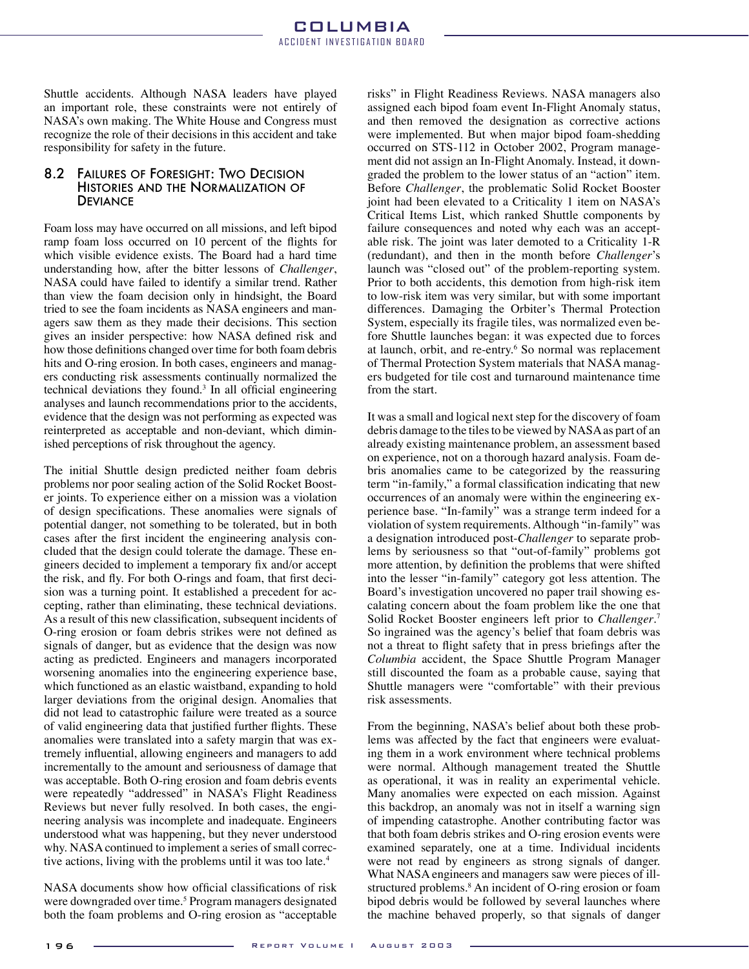Shuttle accidents. Although NASA leaders have played an important role, these constraints were not entirely of NASA's own making. The White House and Congress must recognize the role of their decisions in this accident and take responsibility for safety in the future.

#### 8.2 FAILURES OF FORESIGHT: TWO DECISION HISTORIES AND THE NORMALIZATION OF **DEVIANCE**

Foam loss may have occurred on all missions, and left bipod ramp foam loss occurred on 10 percent of the flights for which visible evidence exists. The Board had a hard time understanding how, after the bitter lessons of *Challenger*, NASA could have failed to identify a similar trend. Rather than view the foam decision only in hindsight, the Board tried to see the foam incidents as NASA engineers and managers saw them as they made their decisions. This section gives an insider perspective: how NASA defined risk and how those definitions changed over time for both foam debris hits and O-ring erosion. In both cases, engineers and managers conducting risk assessments continually normalized the technical deviations they found.<sup>3</sup> In all official engineering analyses and launch recommendations prior to the accidents, evidence that the design was not performing as expected was reinterpreted as acceptable and non-deviant, which diminished perceptions of risk throughout the agency.

The initial Shuttle design predicted neither foam debris problems nor poor sealing action of the Solid Rocket Booster joints. To experience either on a mission was a violation of design specifications. These anomalies were signals of potential danger, not something to be tolerated, but in both cases after the first incident the engineering analysis concluded that the design could tolerate the damage. These engineers decided to implement a temporary fix and/or accept the risk, and fly. For both O-rings and foam, that first decision was a turning point. It established a precedent for accepting, rather than eliminating, these technical deviations. As a result of this new classification, subsequent incidents of O-ring erosion or foam debris strikes were not defined as signals of danger, but as evidence that the design was now acting as predicted. Engineers and managers incorporated worsening anomalies into the engineering experience base, which functioned as an elastic waistband, expanding to hold larger deviations from the original design. Anomalies that did not lead to catastrophic failure were treated as a source of valid engineering data that justified further flights. These anomalies were translated into a safety margin that was extremely influential, allowing engineers and managers to add incrementally to the amount and seriousness of damage that was acceptable. Both O-ring erosion and foam debris events were repeatedly "addressed" in NASA's Flight Readiness Reviews but never fully resolved. In both cases, the engineering analysis was incomplete and inadequate. Engineers understood what was happening, but they never understood why. NASA continued to implement a series of small corrective actions, living with the problems until it was too late.<sup>4</sup>

NASA documents show how official classifications of risk were downgraded over time.<sup>5</sup> Program managers designated both the foam problems and O-ring erosion as "acceptable

risks" in Flight Readiness Reviews. NASA managers also assigned each bipod foam event In-Flight Anomaly status, and then removed the designation as corrective actions were implemented. But when major bipod foam-shedding occurred on STS-112 in October 2002, Program management did not assign an In-Flight Anomaly. Instead, it downgraded the problem to the lower status of an "action" item. Before *Challenger*, the problematic Solid Rocket Booster joint had been elevated to a Criticality 1 item on NASA's Critical Items List, which ranked Shuttle components by failure consequences and noted why each was an acceptable risk. The joint was later demoted to a Criticality 1-R (redundant), and then in the month before *Challenger*'s launch was "closed out" of the problem-reporting system. Prior to both accidents, this demotion from high-risk item to low-risk item was very similar, but with some important differences. Damaging the Orbiter's Thermal Protection System, especially its fragile tiles, was normalized even before Shuttle launches began: it was expected due to forces at launch, orbit, and re-entry.<sup>6</sup> So normal was replacement of Thermal Protection System materials that NASA managers budgeted for tile cost and turnaround maintenance time from the start.

It was a small and logical next step for the discovery of foam debris damage to the tiles to be viewed by NASA as part of an already existing maintenance problem, an assessment based on experience, not on a thorough hazard analysis. Foam debris anomalies came to be categorized by the reassuring term "in-family," a formal classification indicating that new occurrences of an anomaly were within the engineering experience base. "In-family" was a strange term indeed for a violation of system requirements. Although "in-family" was a designation introduced post-*Challenger* to separate problems by seriousness so that "out-of-family" problems got more attention, by definition the problems that were shifted into the lesser "in-family" category got less attention. The Board's investigation uncovered no paper trail showing escalating concern about the foam problem like the one that Solid Rocket Booster engineers left prior to *Challenger*. 7 So ingrained was the agency's belief that foam debris was not a threat to flight safety that in press briefings after the *Columbia* accident, the Space Shuttle Program Manager still discounted the foam as a probable cause, saying that Shuttle managers were "comfortable" with their previous risk assessments.

From the beginning, NASA's belief about both these problems was affected by the fact that engineers were evaluating them in a work environment where technical problems were normal. Although management treated the Shuttle as operational, it was in reality an experimental vehicle. Many anomalies were expected on each mission. Against this backdrop, an anomaly was not in itself a warning sign of impending catastrophe. Another contributing factor was that both foam debris strikes and O-ring erosion events were examined separately, one at a time. Individual incidents were not read by engineers as strong signals of danger. What NASA engineers and managers saw were pieces of illstructured problems.<sup>8</sup> An incident of O-ring erosion or foam bipod debris would be followed by several launches where the machine behaved properly, so that signals of danger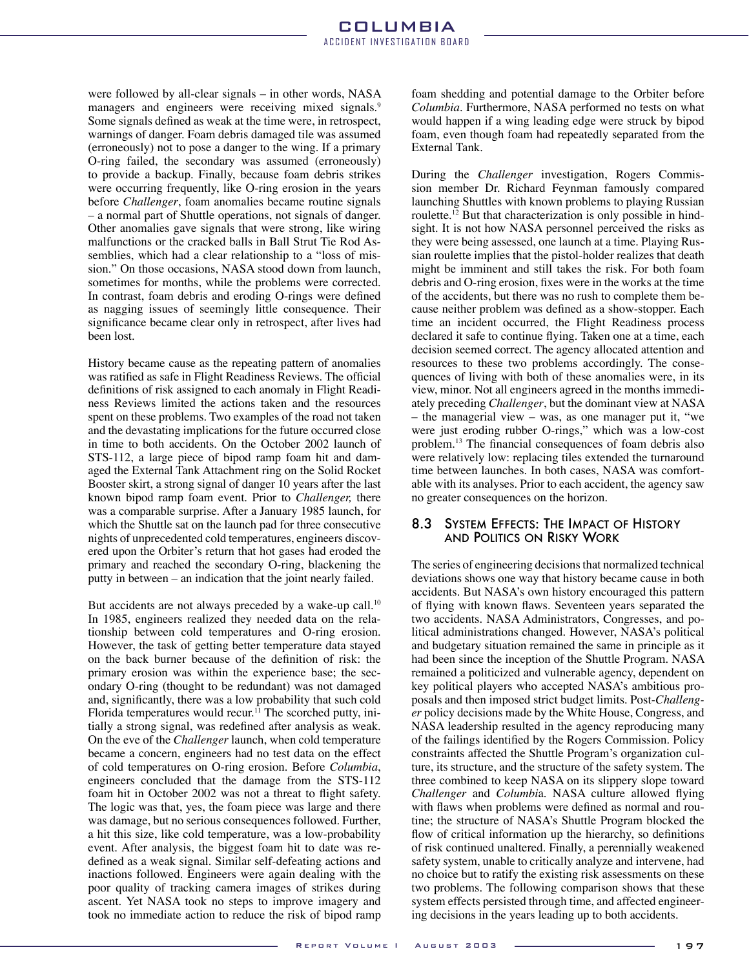were followed by all-clear signals – in other words, NASA managers and engineers were receiving mixed signals.<sup>9</sup> Some signals defined as weak at the time were, in retrospect, warnings of danger. Foam debris damaged tile was assumed (erroneously) not to pose a danger to the wing. If a primary O-ring failed, the secondary was assumed (erroneously) to provide a backup. Finally, because foam debris strikes were occurring frequently, like O-ring erosion in the years before *Challenger*, foam anomalies became routine signals – a normal part of Shuttle operations, not signals of danger. Other anomalies gave signals that were strong, like wiring malfunctions or the cracked balls in Ball Strut Tie Rod Assemblies, which had a clear relationship to a "loss of mission." On those occasions, NASA stood down from launch, sometimes for months, while the problems were corrected. In contrast, foam debris and eroding O-rings were defined as nagging issues of seemingly little consequence. Their significance became clear only in retrospect, after lives had been lost.

History became cause as the repeating pattern of anomalies was ratified as safe in Flight Readiness Reviews. The official definitions of risk assigned to each anomaly in Flight Readiness Reviews limited the actions taken and the resources spent on these problems. Two examples of the road not taken and the devastating implications for the future occurred close in time to both accidents. On the October 2002 launch of STS-112, a large piece of bipod ramp foam hit and damaged the External Tank Attachment ring on the Solid Rocket Booster skirt, a strong signal of danger 10 years after the last known bipod ramp foam event. Prior to *Challenger,* there was a comparable surprise. After a January 1985 launch, for which the Shuttle sat on the launch pad for three consecutive nights of unprecedented cold temperatures, engineers discovered upon the Orbiter's return that hot gases had eroded the primary and reached the secondary O-ring, blackening the putty in between – an indication that the joint nearly failed.

But accidents are not always preceded by a wake-up call.<sup>10</sup> In 1985, engineers realized they needed data on the relationship between cold temperatures and O-ring erosion. However, the task of getting better temperature data stayed on the back burner because of the definition of risk: the primary erosion was within the experience base; the secondary O-ring (thought to be redundant) was not damaged and, significantly, there was a low probability that such cold Florida temperatures would recur.<sup>11</sup> The scorched putty, initially a strong signal, was redefined after analysis as weak. On the eve of the *Challenger* launch, when cold temperature became a concern, engineers had no test data on the effect of cold temperatures on O-ring erosion. Before *Columbia*, engineers concluded that the damage from the STS-112 foam hit in October 2002 was not a threat to flight safety. The logic was that, yes, the foam piece was large and there was damage, but no serious consequences followed. Further, a hit this size, like cold temperature, was a low-probability event. After analysis, the biggest foam hit to date was redefined as a weak signal. Similar self-defeating actions and inactions followed. Engineers were again dealing with the poor quality of tracking camera images of strikes during ascent. Yet NASA took no steps to improve imagery and took no immediate action to reduce the risk of bipod ramp

foam shedding and potential damage to the Orbiter before *Columbia*. Furthermore, NASA performed no tests on what would happen if a wing leading edge were struck by bipod foam, even though foam had repeatedly separated from the External Tank.

During the *Challenger* investigation, Rogers Commission member Dr. Richard Feynman famously compared launching Shuttles with known problems to playing Russian roulette.<sup>12</sup> But that characterization is only possible in hindsight. It is not how NASA personnel perceived the risks as they were being assessed, one launch at a time. Playing Russian roulette implies that the pistol-holder realizes that death might be imminent and still takes the risk. For both foam debris and O-ring erosion, fixes were in the works at the time of the accidents, but there was no rush to complete them because neither problem was defined as a show-stopper. Each time an incident occurred, the Flight Readiness process declared it safe to continue flying. Taken one at a time, each decision seemed correct. The agency allocated attention and resources to these two problems accordingly. The consequences of living with both of these anomalies were, in its view, minor. Not all engineers agreed in the months immediately preceding *Challenger*, but the dominant view at NASA – the managerial view – was, as one manager put it, "we were just eroding rubber O-rings," which was a low-cost problem.13 The financial consequences of foam debris also were relatively low: replacing tiles extended the turnaround time between launches. In both cases, NASA was comfortable with its analyses. Prior to each accident, the agency saw no greater consequences on the horizon.

#### 8.3 SYSTEM EFFECTS: THE IMPACT OF HISTORY AND POLITICS ON RISKY WORK

The series of engineering decisions that normalized technical deviations shows one way that history became cause in both accidents. But NASA's own history encouraged this pattern of flying with known flaws. Seventeen years separated the two accidents. NASA Administrators, Congresses, and political administrations changed. However, NASA's political and budgetary situation remained the same in principle as it had been since the inception of the Shuttle Program. NASA remained a politicized and vulnerable agency, dependent on key political players who accepted NASA's ambitious proposals and then imposed strict budget limits. Post-*Challenger* policy decisions made by the White House, Congress, and NASA leadership resulted in the agency reproducing many of the failings identified by the Rogers Commission. Policy constraints affected the Shuttle Program's organization culture, its structure, and the structure of the safety system. The three combined to keep NASA on its slippery slope toward *Challenger* and *Columbi*a. NASA culture allowed flying with flaws when problems were defined as normal and routine; the structure of NASA's Shuttle Program blocked the flow of critical information up the hierarchy, so definitions of risk continued unaltered. Finally, a perennially weakened safety system, unable to critically analyze and intervene, had no choice but to ratify the existing risk assessments on these two problems. The following comparison shows that these system effects persisted through time, and affected engineering decisions in the years leading up to both accidents.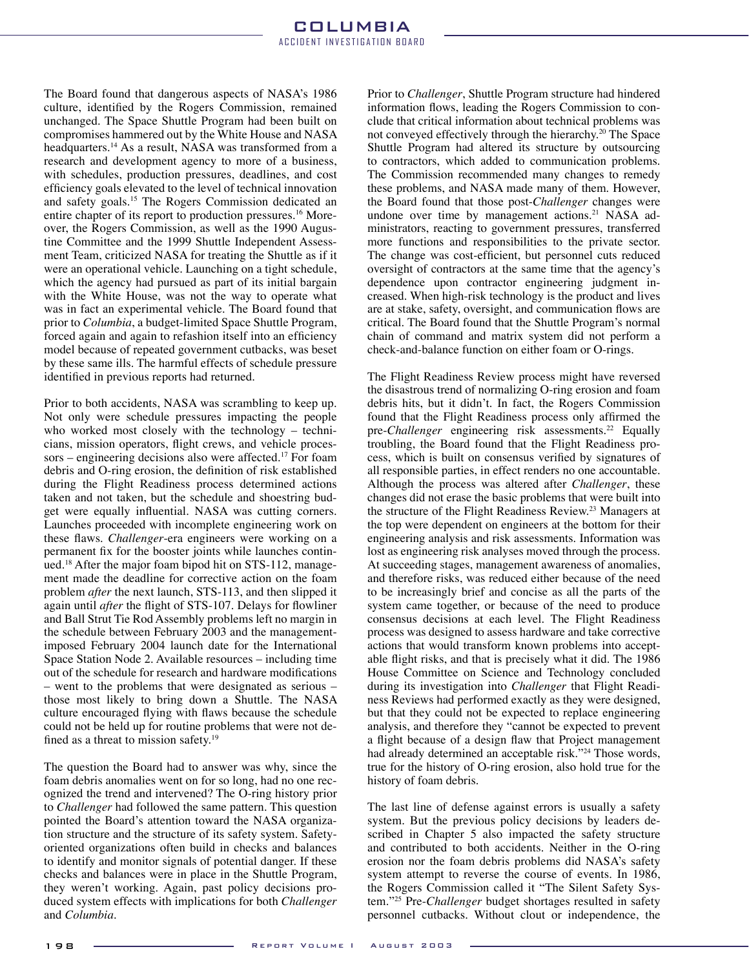The Board found that dangerous aspects of NASA's 1986 culture, identified by the Rogers Commission, remained unchanged. The Space Shuttle Program had been built on compromises hammered out by the White House and NASA headquarters.14 As a result, NASA was transformed from a research and development agency to more of a business, with schedules, production pressures, deadlines, and cost efficiency goals elevated to the level of technical innovation and safety goals.15 The Rogers Commission dedicated an entire chapter of its report to production pressures.<sup>16</sup> Moreover, the Rogers Commission, as well as the 1990 Augustine Committee and the 1999 Shuttle Independent Assessment Team, criticized NASA for treating the Shuttle as if it were an operational vehicle. Launching on a tight schedule, which the agency had pursued as part of its initial bargain with the White House, was not the way to operate what was in fact an experimental vehicle. The Board found that prior to *Columbia*, a budget-limited Space Shuttle Program, forced again and again to refashion itself into an efficiency model because of repeated government cutbacks, was beset by these same ills. The harmful effects of schedule pressure identified in previous reports had returned.

Prior to both accidents, NASA was scrambling to keep up. Not only were schedule pressures impacting the people who worked most closely with the technology – technicians, mission operators, flight crews, and vehicle processors – engineering decisions also were affected.<sup>17</sup> For foam debris and O-ring erosion, the definition of risk established during the Flight Readiness process determined actions taken and not taken, but the schedule and shoestring budget were equally influential. NASA was cutting corners. Launches proceeded with incomplete engineering work on these flaws. *Challenger*-era engineers were working on a permanent fix for the booster joints while launches continued.18 After the major foam bipod hit on STS-112, management made the deadline for corrective action on the foam problem *after* the next launch, STS-113, and then slipped it again until *after* the flight of STS-107. Delays for flowliner and Ball Strut Tie Rod Assembly problems left no margin in the schedule between February 2003 and the managementimposed February 2004 launch date for the International Space Station Node 2. Available resources – including time out of the schedule for research and hardware modifications – went to the problems that were designated as serious – those most likely to bring down a Shuttle. The NASA culture encouraged flying with flaws because the schedule could not be held up for routine problems that were not defined as a threat to mission safety.19

The question the Board had to answer was why, since the foam debris anomalies went on for so long, had no one recognized the trend and intervened? The O-ring history prior to *Challenger* had followed the same pattern. This question pointed the Board's attention toward the NASA organization structure and the structure of its safety system. Safetyoriented organizations often build in checks and balances to identify and monitor signals of potential danger. If these checks and balances were in place in the Shuttle Program, they weren't working. Again, past policy decisions produced system effects with implications for both *Challenger* and *Columbia*.

Prior to *Challenger*, Shuttle Program structure had hindered information flows, leading the Rogers Commission to conclude that critical information about technical problems was not conveyed effectively through the hierarchy.20 The Space Shuttle Program had altered its structure by outsourcing to contractors, which added to communication problems. The Commission recommended many changes to remedy these problems, and NASA made many of them. However, the Board found that those post-*Challenger* changes were undone over time by management actions.<sup>21</sup> NASA administrators, reacting to government pressures, transferred more functions and responsibilities to the private sector. The change was cost-efficient, but personnel cuts reduced oversight of contractors at the same time that the agency's dependence upon contractor engineering judgment increased. When high-risk technology is the product and lives are at stake, safety, oversight, and communication flows are critical. The Board found that the Shuttle Program's normal chain of command and matrix system did not perform a check-and-balance function on either foam or O-rings.

The Flight Readiness Review process might have reversed the disastrous trend of normalizing O-ring erosion and foam debris hits, but it didn't. In fact, the Rogers Commission found that the Flight Readiness process only affirmed the pre-*Challenger* engineering risk assessments.<sup>22</sup> Equally troubling, the Board found that the Flight Readiness process, which is built on consensus verified by signatures of all responsible parties, in effect renders no one accountable. Although the process was altered after *Challenger*, these changes did not erase the basic problems that were built into the structure of the Flight Readiness Review.<sup>23</sup> Managers at the top were dependent on engineers at the bottom for their engineering analysis and risk assessments. Information was lost as engineering risk analyses moved through the process. At succeeding stages, management awareness of anomalies, and therefore risks, was reduced either because of the need to be increasingly brief and concise as all the parts of the system came together, or because of the need to produce consensus decisions at each level. The Flight Readiness process was designed to assess hardware and take corrective actions that would transform known problems into acceptable flight risks, and that is precisely what it did. The 1986 House Committee on Science and Technology concluded during its investigation into *Challenger* that Flight Readiness Reviews had performed exactly as they were designed, but that they could not be expected to replace engineering analysis, and therefore they "cannot be expected to prevent a flight because of a design flaw that Project management had already determined an acceptable risk."24 Those words, true for the history of O-ring erosion, also hold true for the history of foam debris.

The last line of defense against errors is usually a safety system. But the previous policy decisions by leaders described in Chapter 5 also impacted the safety structure and contributed to both accidents. Neither in the O-ring erosion nor the foam debris problems did NASA's safety system attempt to reverse the course of events. In 1986, the Rogers Commission called it "The Silent Safety System."25 Pre-*Challenger* budget shortages resulted in safety personnel cutbacks. Without clout or independence, the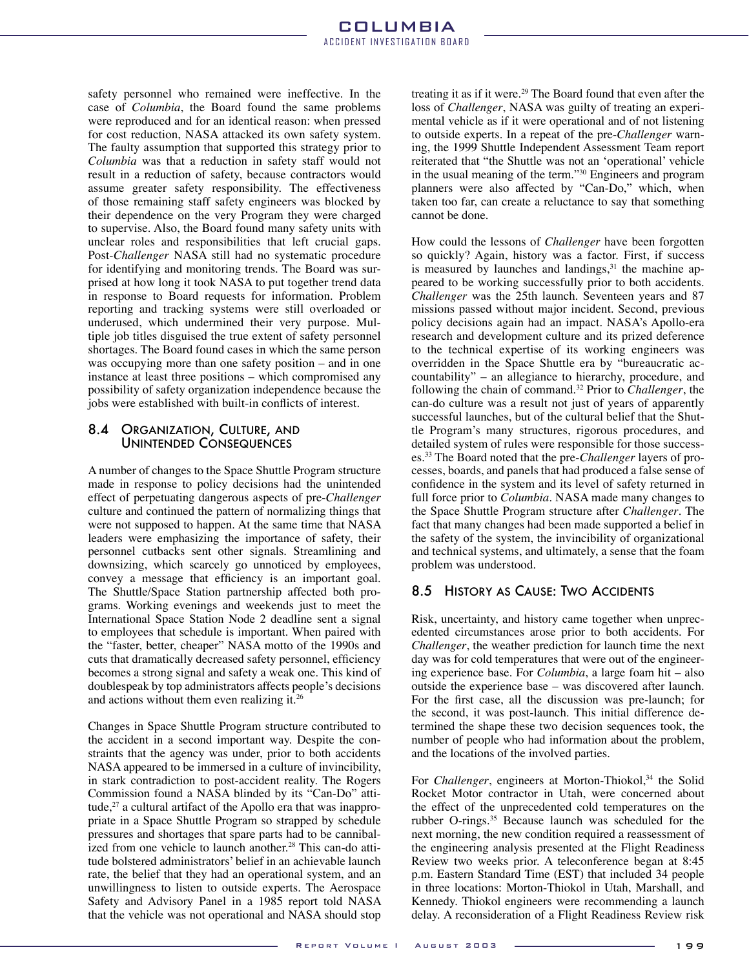safety personnel who remained were ineffective. In the case of *Columbia*, the Board found the same problems were reproduced and for an identical reason: when pressed for cost reduction, NASA attacked its own safety system. The faulty assumption that supported this strategy prior to *Columbia* was that a reduction in safety staff would not result in a reduction of safety, because contractors would assume greater safety responsibility. The effectiveness of those remaining staff safety engineers was blocked by their dependence on the very Program they were charged to supervise. Also, the Board found many safety units with unclear roles and responsibilities that left crucial gaps. Post-*Challenger* NASA still had no systematic procedure for identifying and monitoring trends. The Board was surprised at how long it took NASA to put together trend data in response to Board requests for information. Problem reporting and tracking systems were still overloaded or underused, which undermined their very purpose. Multiple job titles disguised the true extent of safety personnel shortages. The Board found cases in which the same person was occupying more than one safety position – and in one instance at least three positions – which compromised any possibility of safety organization independence because the jobs were established with built-in conflicts of interest.

#### 8.4 ORGANIZATION, CULTURE, AND UNINTENDED CONSEQUENCES

A number of changes to the Space Shuttle Program structure made in response to policy decisions had the unintended effect of perpetuating dangerous aspects of pre-*Challenger* culture and continued the pattern of normalizing things that were not supposed to happen. At the same time that NASA leaders were emphasizing the importance of safety, their personnel cutbacks sent other signals. Streamlining and downsizing, which scarcely go unnoticed by employees, convey a message that efficiency is an important goal. The Shuttle/Space Station partnership affected both programs. Working evenings and weekends just to meet the International Space Station Node 2 deadline sent a signal to employees that schedule is important. When paired with the "faster, better, cheaper" NASA motto of the 1990s and cuts that dramatically decreased safety personnel, efficiency becomes a strong signal and safety a weak one. This kind of doublespeak by top administrators affects people's decisions and actions without them even realizing it.26

Changes in Space Shuttle Program structure contributed to the accident in a second important way. Despite the constraints that the agency was under, prior to both accidents NASA appeared to be immersed in a culture of invincibility, in stark contradiction to post-accident reality. The Rogers Commission found a NASA blinded by its "Can-Do" attitude, $^{27}$  a cultural artifact of the Apollo era that was inappropriate in a Space Shuttle Program so strapped by schedule pressures and shortages that spare parts had to be cannibalized from one vehicle to launch another.<sup>28</sup> This can-do attitude bolstered administrators' belief in an achievable launch rate, the belief that they had an operational system, and an unwillingness to listen to outside experts. The Aerospace Safety and Advisory Panel in a 1985 report told NASA that the vehicle was not operational and NASA should stop

treating it as if it were.<sup>29</sup> The Board found that even after the loss of *Challenger*, NASA was guilty of treating an experimental vehicle as if it were operational and of not listening to outside experts. In a repeat of the pre-*Challenger* warning, the 1999 Shuttle Independent Assessment Team report reiterated that "the Shuttle was not an ʻoperational' vehicle in the usual meaning of the term."30 Engineers and program planners were also affected by "Can-Do," which, when taken too far, can create a reluctance to say that something cannot be done.

How could the lessons of *Challenger* have been forgotten so quickly? Again, history was a factor. First, if success is measured by launches and landings, $31$  the machine appeared to be working successfully prior to both accidents. *Challenger* was the 25th launch. Seventeen years and 87 missions passed without major incident. Second, previous policy decisions again had an impact. NASA's Apollo-era research and development culture and its prized deference to the technical expertise of its working engineers was overridden in the Space Shuttle era by "bureaucratic accountability" – an allegiance to hierarchy, procedure, and following the chain of command.32 Prior to *Challenger*, the can-do culture was a result not just of years of apparently successful launches, but of the cultural belief that the Shuttle Program's many structures, rigorous procedures, and detailed system of rules were responsible for those successes.33 The Board noted that the pre-*Challenger* layers of processes, boards, and panels that had produced a false sense of confidence in the system and its level of safety returned in full force prior to *Columbia*. NASA made many changes to the Space Shuttle Program structure after *Challenger*. The fact that many changes had been made supported a belief in the safety of the system, the invincibility of organizational and technical systems, and ultimately, a sense that the foam problem was understood.

# 8.5 HISTORY AS CAUSE: TWO ACCIDENTS

Risk, uncertainty, and history came together when unprecedented circumstances arose prior to both accidents. For *Challenger*, the weather prediction for launch time the next day was for cold temperatures that were out of the engineering experience base. For *Columbia*, a large foam hit – also outside the experience base – was discovered after launch. For the first case, all the discussion was pre-launch; for the second, it was post-launch. This initial difference determined the shape these two decision sequences took, the number of people who had information about the problem, and the locations of the involved parties.

For *Challenger*, engineers at Morton-Thiokol,<sup>34</sup> the Solid Rocket Motor contractor in Utah, were concerned about the effect of the unprecedented cold temperatures on the rubber O-rings.<sup>35</sup> Because launch was scheduled for the next morning, the new condition required a reassessment of the engineering analysis presented at the Flight Readiness Review two weeks prior. A teleconference began at 8:45 p.m. Eastern Standard Time (EST) that included 34 people in three locations: Morton-Thiokol in Utah, Marshall, and Kennedy. Thiokol engineers were recommending a launch delay. A reconsideration of a Flight Readiness Review risk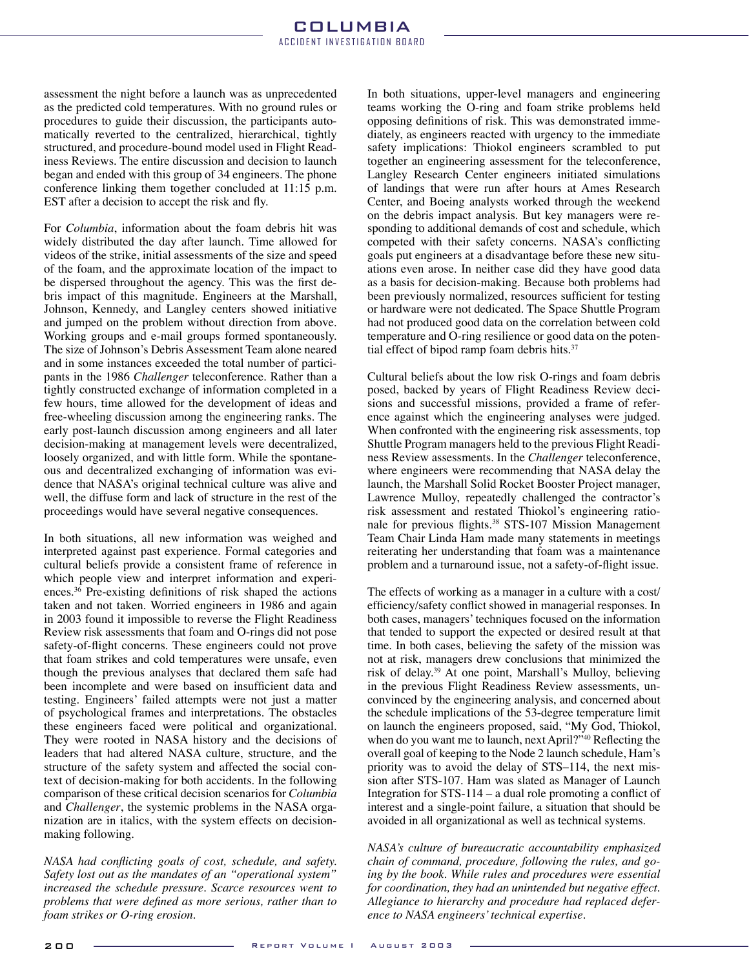assessment the night before a launch was as unprecedented as the predicted cold temperatures. With no ground rules or procedures to guide their discussion, the participants automatically reverted to the centralized, hierarchical, tightly structured, and procedure-bound model used in Flight Readiness Reviews. The entire discussion and decision to launch began and ended with this group of 34 engineers. The phone conference linking them together concluded at 11:15 p.m. EST after a decision to accept the risk and fly.

For *Columbia*, information about the foam debris hit was widely distributed the day after launch. Time allowed for videos of the strike, initial assessments of the size and speed of the foam, and the approximate location of the impact to be dispersed throughout the agency. This was the first debris impact of this magnitude. Engineers at the Marshall, Johnson, Kennedy, and Langley centers showed initiative and jumped on the problem without direction from above. Working groups and e-mail groups formed spontaneously. The size of Johnson's Debris Assessment Team alone neared and in some instances exceeded the total number of participants in the 1986 *Challenger* teleconference. Rather than a tightly constructed exchange of information completed in a few hours, time allowed for the development of ideas and free-wheeling discussion among the engineering ranks. The early post-launch discussion among engineers and all later decision-making at management levels were decentralized, loosely organized, and with little form. While the spontaneous and decentralized exchanging of information was evidence that NASA's original technical culture was alive and well, the diffuse form and lack of structure in the rest of the proceedings would have several negative consequences.

In both situations, all new information was weighed and interpreted against past experience. Formal categories and cultural beliefs provide a consistent frame of reference in which people view and interpret information and experiences.36 Pre-existing definitions of risk shaped the actions taken and not taken. Worried engineers in 1986 and again in 2003 found it impossible to reverse the Flight Readiness Review risk assessments that foam and O-rings did not pose safety-of-flight concerns. These engineers could not prove that foam strikes and cold temperatures were unsafe, even though the previous analyses that declared them safe had been incomplete and were based on insufficient data and testing. Engineers' failed attempts were not just a matter of psychological frames and interpretations. The obstacles these engineers faced were political and organizational. They were rooted in NASA history and the decisions of leaders that had altered NASA culture, structure, and the structure of the safety system and affected the social context of decision-making for both accidents. In the following comparison of these critical decision scenarios for *Columbia* and *Challenger*, the systemic problems in the NASA organization are in italics, with the system effects on decisionmaking following.

*NASA had conflicting goals of cost, schedule, and safety. Safety lost out as the mandates of an "operational system" increased the schedule pressure. Scarce resources went to problems that were defined as more serious, rather than to foam strikes or O-ring erosion.* 

In both situations, upper-level managers and engineering teams working the O-ring and foam strike problems held opposing definitions of risk. This was demonstrated immediately, as engineers reacted with urgency to the immediate safety implications: Thiokol engineers scrambled to put together an engineering assessment for the teleconference, Langley Research Center engineers initiated simulations of landings that were run after hours at Ames Research Center, and Boeing analysts worked through the weekend on the debris impact analysis. But key managers were responding to additional demands of cost and schedule, which competed with their safety concerns. NASA's conflicting goals put engineers at a disadvantage before these new situations even arose. In neither case did they have good data as a basis for decision-making. Because both problems had been previously normalized, resources sufficient for testing or hardware were not dedicated. The Space Shuttle Program had not produced good data on the correlation between cold temperature and O-ring resilience or good data on the potential effect of bipod ramp foam debris hits.<sup>37</sup>

Cultural beliefs about the low risk O-rings and foam debris posed, backed by years of Flight Readiness Review decisions and successful missions, provided a frame of reference against which the engineering analyses were judged. When confronted with the engineering risk assessments, top Shuttle Program managers held to the previous Flight Readiness Review assessments. In the *Challenger* teleconference, where engineers were recommending that NASA delay the launch, the Marshall Solid Rocket Booster Project manager, Lawrence Mulloy, repeatedly challenged the contractor's risk assessment and restated Thiokol's engineering rationale for previous flights.38 STS-107 Mission Management Team Chair Linda Ham made many statements in meetings reiterating her understanding that foam was a maintenance problem and a turnaround issue, not a safety-of-flight issue.

The effects of working as a manager in a culture with a cost/ efficiency/safety conflict showed in managerial responses. In both cases, managers' techniques focused on the information that tended to support the expected or desired result at that time. In both cases, believing the safety of the mission was not at risk, managers drew conclusions that minimized the risk of delay.39 At one point, Marshall's Mulloy, believing in the previous Flight Readiness Review assessments, unconvinced by the engineering analysis, and concerned about the schedule implications of the 53-degree temperature limit on launch the engineers proposed, said, "My God, Thiokol, when do you want me to launch, next April?"40 Reflecting the overall goal of keeping to the Node 2 launch schedule, Ham's priority was to avoid the delay of STS–114, the next mission after STS-107. Ham was slated as Manager of Launch Integration for STS-114 – a dual role promoting a conflict of interest and a single-point failure, a situation that should be avoided in all organizational as well as technical systems.

*NASA's culture of bureaucratic accountability emphasized chain of command, procedure, following the rules, and going by the book. While rules and procedures were essential for coordination, they had an unintended but negative effect. Allegiance to hierarchy and procedure had replaced deference to NASA engineers' technical expertise.*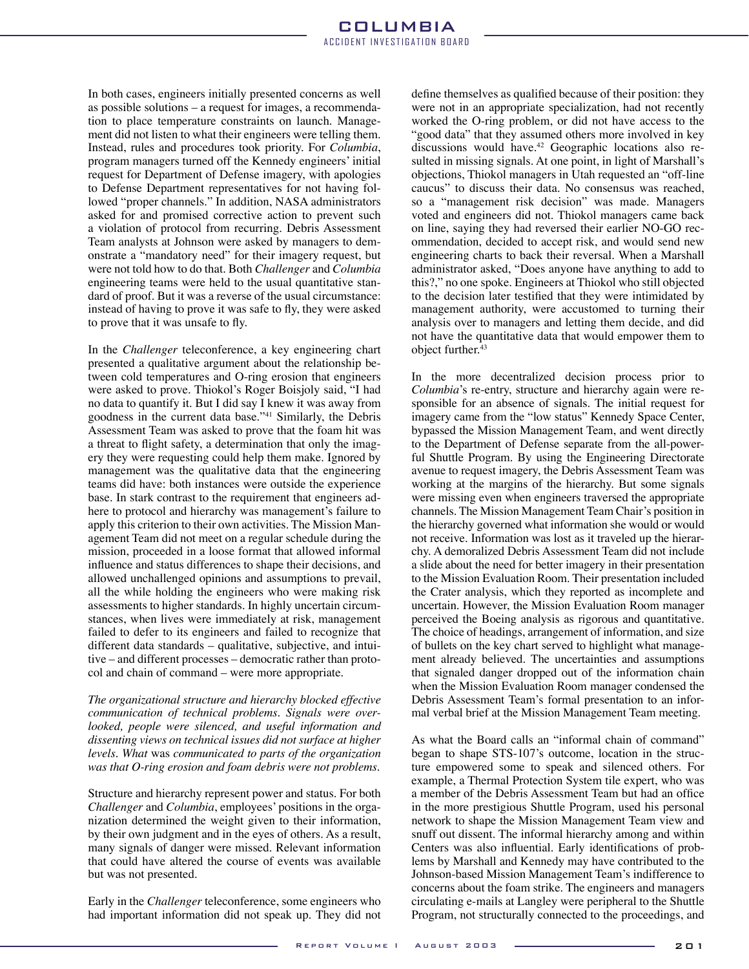In both cases, engineers initially presented concerns as well as possible solutions – a request for images, a recommendation to place temperature constraints on launch. Management did not listen to what their engineers were telling them. Instead, rules and procedures took priority. For *Columbia*, program managers turned off the Kennedy engineers' initial request for Department of Defense imagery, with apologies to Defense Department representatives for not having followed "proper channels." In addition, NASA administrators asked for and promised corrective action to prevent such a violation of protocol from recurring. Debris Assessment Team analysts at Johnson were asked by managers to demonstrate a "mandatory need" for their imagery request, but were not told how to do that. Both *Challenger* and *Columbia*  engineering teams were held to the usual quantitative standard of proof. But it was a reverse of the usual circumstance: instead of having to prove it was safe to fly, they were asked to prove that it was unsafe to fly.

In the *Challenger* teleconference, a key engineering chart presented a qualitative argument about the relationship between cold temperatures and O-ring erosion that engineers were asked to prove. Thiokol's Roger Boisjoly said, "I had no data to quantify it. But I did say I knew it was away from goodness in the current data base."41 Similarly, the Debris Assessment Team was asked to prove that the foam hit was a threat to flight safety, a determination that only the imagery they were requesting could help them make. Ignored by management was the qualitative data that the engineering teams did have: both instances were outside the experience base. In stark contrast to the requirement that engineers adhere to protocol and hierarchy was management's failure to apply this criterion to their own activities. The Mission Management Team did not meet on a regular schedule during the mission, proceeded in a loose format that allowed informal influence and status differences to shape their decisions, and allowed unchallenged opinions and assumptions to prevail, all the while holding the engineers who were making risk assessments to higher standards. In highly uncertain circumstances, when lives were immediately at risk, management failed to defer to its engineers and failed to recognize that different data standards – qualitative, subjective, and intuitive – and different processes – democratic rather than protocol and chain of command – were more appropriate.

*The organizational structure and hierarchy blocked effective communication of technical problems. Signals were overlooked, people were silenced, and useful information and dissenting views on technical issues did not surface at higher levels. What* was *communicated to parts of the organization was that O-ring erosion and foam debris were not problems.* 

Structure and hierarchy represent power and status. For both *Challenger* and *Columbia*, employees' positions in the organization determined the weight given to their information, by their own judgment and in the eyes of others. As a result, many signals of danger were missed. Relevant information that could have altered the course of events was available but was not presented.

Early in the *Challenger* teleconference, some engineers who had important information did not speak up. They did not

define themselves as qualified because of their position: they were not in an appropriate specialization, had not recently worked the O-ring problem, or did not have access to the "good data" that they assumed others more involved in key discussions would have.42 Geographic locations also resulted in missing signals. At one point, in light of Marshall's objections, Thiokol managers in Utah requested an "off-line caucus" to discuss their data. No consensus was reached, so a "management risk decision" was made. Managers voted and engineers did not. Thiokol managers came back on line, saying they had reversed their earlier NO-GO recommendation, decided to accept risk, and would send new engineering charts to back their reversal. When a Marshall administrator asked, "Does anyone have anything to add to this?," no one spoke. Engineers at Thiokol who still objected to the decision later testified that they were intimidated by management authority, were accustomed to turning their analysis over to managers and letting them decide, and did not have the quantitative data that would empower them to object further.<sup>43</sup>

In the more decentralized decision process prior to *Columbia*'s re-entry, structure and hierarchy again were responsible for an absence of signals. The initial request for imagery came from the "low status" Kennedy Space Center, bypassed the Mission Management Team, and went directly to the Department of Defense separate from the all-powerful Shuttle Program. By using the Engineering Directorate avenue to request imagery, the Debris Assessment Team was working at the margins of the hierarchy. But some signals were missing even when engineers traversed the appropriate channels. The Mission Management Team Chair's position in the hierarchy governed what information she would or would not receive. Information was lost as it traveled up the hierarchy. A demoralized Debris Assessment Team did not include a slide about the need for better imagery in their presentation to the Mission Evaluation Room. Their presentation included the Crater analysis, which they reported as incomplete and uncertain. However, the Mission Evaluation Room manager perceived the Boeing analysis as rigorous and quantitative. The choice of headings, arrangement of information, and size of bullets on the key chart served to highlight what management already believed. The uncertainties and assumptions that signaled danger dropped out of the information chain when the Mission Evaluation Room manager condensed the Debris Assessment Team's formal presentation to an informal verbal brief at the Mission Management Team meeting.

As what the Board calls an "informal chain of command" began to shape STS-107's outcome, location in the structure empowered some to speak and silenced others. For example, a Thermal Protection System tile expert, who was a member of the Debris Assessment Team but had an office in the more prestigious Shuttle Program, used his personal network to shape the Mission Management Team view and snuff out dissent. The informal hierarchy among and within Centers was also influential. Early identifications of problems by Marshall and Kennedy may have contributed to the Johnson-based Mission Management Team's indifference to concerns about the foam strike. The engineers and managers circulating e-mails at Langley were peripheral to the Shuttle Program, not structurally connected to the proceedings, and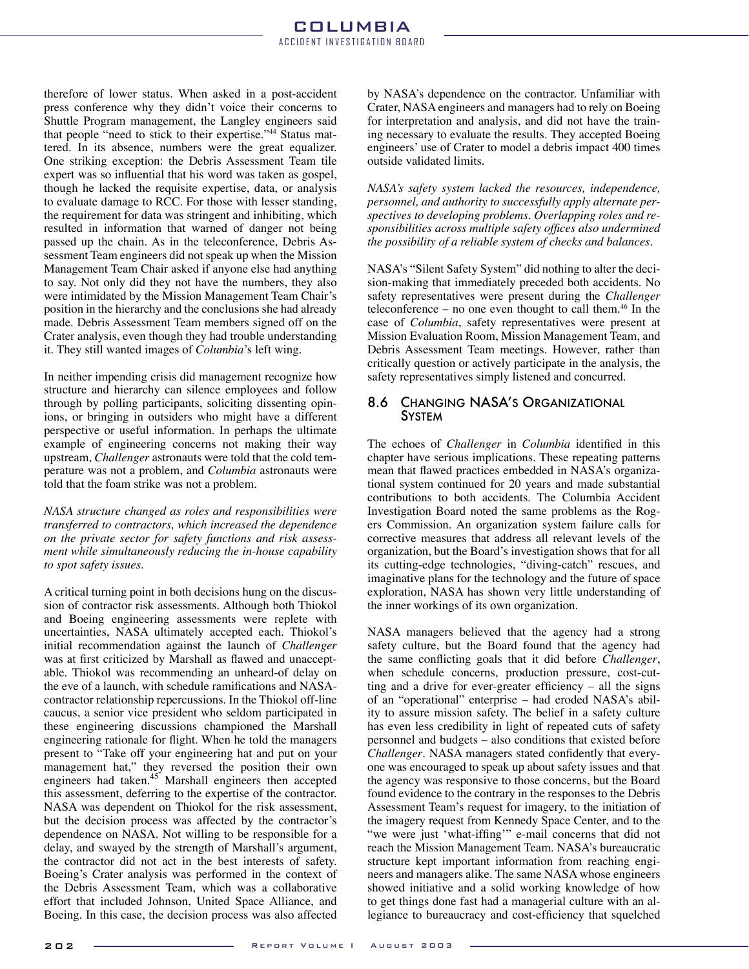therefore of lower status. When asked in a post-accident press conference why they didn't voice their concerns to Shuttle Program management, the Langley engineers said that people "need to stick to their expertise."44 Status mattered. In its absence, numbers were the great equalizer. One striking exception: the Debris Assessment Team tile expert was so influential that his word was taken as gospel, though he lacked the requisite expertise, data, or analysis to evaluate damage to RCC. For those with lesser standing, the requirement for data was stringent and inhibiting, which resulted in information that warned of danger not being passed up the chain. As in the teleconference, Debris Assessment Team engineers did not speak up when the Mission Management Team Chair asked if anyone else had anything to say. Not only did they not have the numbers, they also were intimidated by the Mission Management Team Chair's position in the hierarchy and the conclusions she had already made. Debris Assessment Team members signed off on the Crater analysis, even though they had trouble understanding it. They still wanted images of *Columbia*'s left wing.

In neither impending crisis did management recognize how structure and hierarchy can silence employees and follow through by polling participants, soliciting dissenting opinions, or bringing in outsiders who might have a different perspective or useful information. In perhaps the ultimate example of engineering concerns not making their way upstream, *Challenger* astronauts were told that the cold temperature was not a problem, and *Columbia* astronauts were told that the foam strike was not a problem.

*NASA structure changed as roles and responsibilities were transferred to contractors, which increased the dependence on the private sector for safety functions and risk assessment while simultaneously reducing the in-house capability to spot safety issues.* 

A critical turning point in both decisions hung on the discussion of contractor risk assessments. Although both Thiokol and Boeing engineering assessments were replete with uncertainties, NASA ultimately accepted each. Thiokol's initial recommendation against the launch of *Challenger*  was at first criticized by Marshall as flawed and unacceptable. Thiokol was recommending an unheard-of delay on the eve of a launch, with schedule ramifications and NASAcontractor relationship repercussions. In the Thiokol off-line caucus, a senior vice president who seldom participated in these engineering discussions championed the Marshall engineering rationale for flight. When he told the managers present to "Take off your engineering hat and put on your management hat," they reversed the position their own engineers had taken.<sup>45</sup> Marshall engineers then accepted this assessment, deferring to the expertise of the contractor. NASA was dependent on Thiokol for the risk assessment, but the decision process was affected by the contractor's dependence on NASA. Not willing to be responsible for a delay, and swayed by the strength of Marshall's argument, the contractor did not act in the best interests of safety. Boeing's Crater analysis was performed in the context of the Debris Assessment Team, which was a collaborative effort that included Johnson, United Space Alliance, and Boeing. In this case, the decision process was also affected

by NASA's dependence on the contractor. Unfamiliar with Crater, NASA engineers and managers had to rely on Boeing for interpretation and analysis, and did not have the training necessary to evaluate the results. They accepted Boeing engineers' use of Crater to model a debris impact 400 times outside validated limits.

*NASA's safety system lacked the resources, independence, personnel, and authority to successfully apply alternate perspectives to developing problems. Overlapping roles and responsibilities across multiple safety offices also undermined the possibility of a reliable system of checks and balances.*

NASA's "Silent Safety System" did nothing to alter the decision-making that immediately preceded both accidents. No safety representatives were present during the *Challenger* teleconference – no one even thought to call them.<sup>46</sup> In the case of *Columbia*, safety representatives were present at Mission Evaluation Room, Mission Management Team, and Debris Assessment Team meetings. However, rather than critically question or actively participate in the analysis, the safety representatives simply listened and concurred.

### 8.6 CHANGING NASA'S ORGANIZATIONAL **SYSTEM**

The echoes of *Challenger* in *Columbia* identified in this chapter have serious implications. These repeating patterns mean that flawed practices embedded in NASA's organizational system continued for 20 years and made substantial contributions to both accidents. The Columbia Accident Investigation Board noted the same problems as the Rogers Commission. An organization system failure calls for corrective measures that address all relevant levels of the organization, but the Board's investigation shows that for all its cutting-edge technologies, "diving-catch" rescues, and imaginative plans for the technology and the future of space exploration, NASA has shown very little understanding of the inner workings of its own organization.

NASA managers believed that the agency had a strong safety culture, but the Board found that the agency had the same conflicting goals that it did before *Challenger*, when schedule concerns, production pressure, cost-cutting and a drive for ever-greater efficiency – all the signs of an "operational" enterprise – had eroded NASA's ability to assure mission safety. The belief in a safety culture has even less credibility in light of repeated cuts of safety personnel and budgets – also conditions that existed before *Challenger*. NASA managers stated confidently that everyone was encouraged to speak up about safety issues and that the agency was responsive to those concerns, but the Board found evidence to the contrary in the responses to the Debris Assessment Team's request for imagery, to the initiation of the imagery request from Kennedy Space Center, and to the "we were just 'what-iffing'" e-mail concerns that did not reach the Mission Management Team. NASA's bureaucratic structure kept important information from reaching engineers and managers alike. The same NASA whose engineers showed initiative and a solid working knowledge of how to get things done fast had a managerial culture with an allegiance to bureaucracy and cost-efficiency that squelched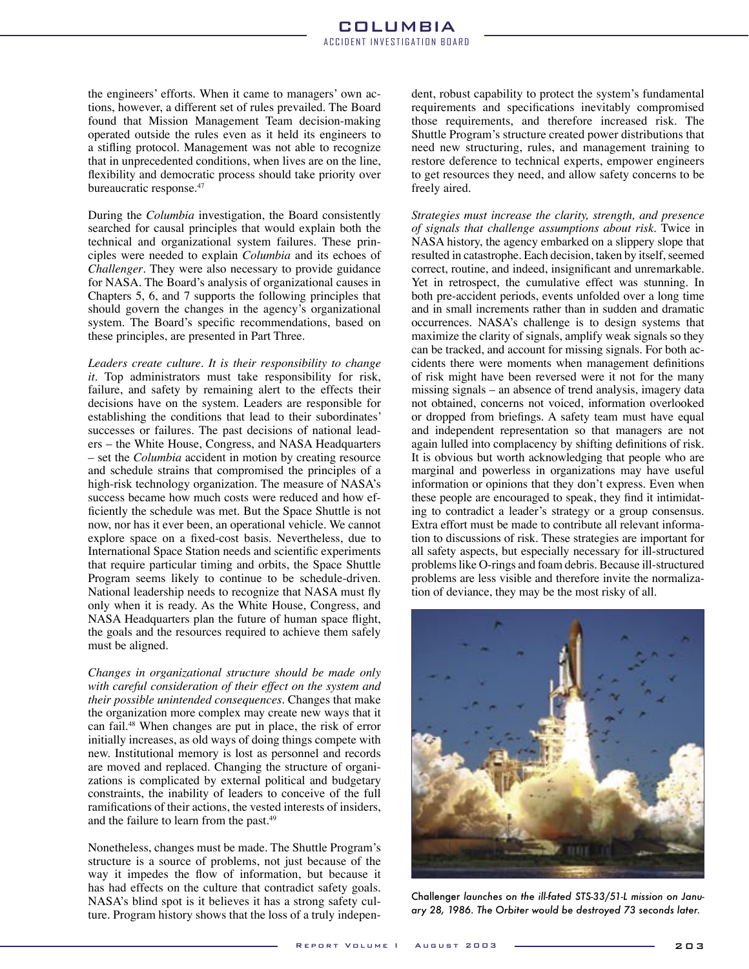the engineers' efforts. When it came to managers' own actions, however, a different set of rules prevailed. The Board found that Mission Management Team decision-making operated outside the rules even as it held its engineers to a stifling protocol. Management was not able to recognize that in unprecedented conditions, when lives are on the line, flexibility and democratic process should take priority over bureaucratic response.47

During the *Columbia* investigation, the Board consistently searched for causal principles that would explain both the technical and organizational system failures. These principles were needed to explain *Columbia* and its echoes of *Challenger*. They were also necessary to provide guidance for NASA. The Board's analysis of organizational causes in Chapters 5, 6, and 7 supports the following principles that should govern the changes in the agency's organizational system. The Board's specific recommendations, based on these principles, are presented in Part Three.

*Leaders create culture. It is their responsibility to change it*. Top administrators must take responsibility for risk, failure, and safety by remaining alert to the effects their decisions have on the system. Leaders are responsible for establishing the conditions that lead to their subordinates' successes or failures. The past decisions of national leaders – the White House, Congress, and NASA Headquarters – set the *Columbia* accident in motion by creating resource and schedule strains that compromised the principles of a high-risk technology organization. The measure of NASA's success became how much costs were reduced and how efficiently the schedule was met. But the Space Shuttle is not now, nor has it ever been, an operational vehicle. We cannot explore space on a fixed-cost basis. Nevertheless, due to International Space Station needs and scientific experiments that require particular timing and orbits, the Space Shuttle Program seems likely to continue to be schedule-driven. National leadership needs to recognize that NASA must fly only when it is ready. As the White House, Congress, and NASA Headquarters plan the future of human space flight, the goals and the resources required to achieve them safely must be aligned.

*Changes in organizational structure should be made only with careful consideration of their effect on the system and their possible unintended consequences*. Changes that make the organization more complex may create new ways that it can fail.48 When changes are put in place, the risk of error initially increases, as old ways of doing things compete with new. Institutional memory is lost as personnel and records are moved and replaced. Changing the structure of organizations is complicated by external political and budgetary constraints, the inability of leaders to conceive of the full ramifications of their actions, the vested interests of insiders, and the failure to learn from the past.<sup>49</sup>

Nonetheless, changes must be made. The Shuttle Program's structure is a source of problems, not just because of the way it impedes the flow of information, but because it has had effects on the culture that contradict safety goals. NASA's blind spot is it believes it has a strong safety culture. Program history shows that the loss of a truly independent, robust capability to protect the system's fundamental requirements and specifications inevitably compromised those requirements, and therefore increased risk. The Shuttle Program's structure created power distributions that need new structuring, rules, and management training to restore deference to technical experts, empower engineers to get resources they need, and allow safety concerns to be freely aired.

*Strategies must increase the clarity, strength, and presence of signals that challenge assumptions about risk.* Twice in NASA history, the agency embarked on a slippery slope that resulted in catastrophe. Each decision, taken by itself, seemed correct, routine, and indeed, insignificant and unremarkable. Yet in retrospect, the cumulative effect was stunning. In both pre-accident periods, events unfolded over a long time and in small increments rather than in sudden and dramatic occurrences. NASA's challenge is to design systems that maximize the clarity of signals, amplify weak signals so they can be tracked, and account for missing signals. For both accidents there were moments when management definitions of risk might have been reversed were it not for the many missing signals – an absence of trend analysis, imagery data not obtained, concerns not voiced, information overlooked or dropped from briefings. A safety team must have equal and independent representation so that managers are not again lulled into complacency by shifting definitions of risk. It is obvious but worth acknowledging that people who are marginal and powerless in organizations may have useful information or opinions that they don't express. Even when these people are encouraged to speak, they find it intimidating to contradict a leader's strategy or a group consensus. Extra effort must be made to contribute all relevant information to discussions of risk. These strategies are important for all safety aspects, but especially necessary for ill-structured problems like O-rings and foam debris. Because ill-structured problems are less visible and therefore invite the normalization of deviance, they may be the most risky of all.



Challenger *launches on the ill-fated STS-33/51-L mission on January 28, 1986. The Orbiter would be destroyed 73 seconds later.*